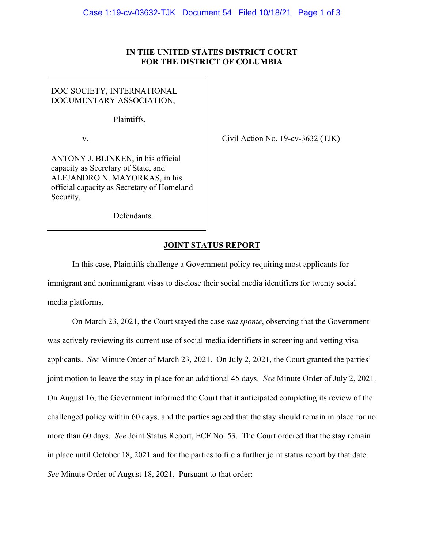## **IN THE UNITED STATES DISTRICT COURT FOR THE DISTRICT OF COLUMBIA**

## DOC SOCIETY, INTERNATIONAL DOCUMENTARY ASSOCIATION,

Plaintiffs,

v.  $\qquad \qquad$  Civil Action No. 19-cv-3632 (TJK)

ANTONY J. BLINKEN, in his official capacity as Secretary of State, and ALEJANDRO N. MAYORKAS, in his official capacity as Secretary of Homeland Security,

Defendants.

## **JOINT STATUS REPORT**

In this case, Plaintiffs challenge a Government policy requiring most applicants for immigrant and nonimmigrant visas to disclose their social media identifiers for twenty social media platforms.

On March 23, 2021, the Court stayed the case *sua sponte*, observing that the Government was actively reviewing its current use of social media identifiers in screening and vetting visa applicants. *See* Minute Order of March 23, 2021. On July 2, 2021, the Court granted the parties' joint motion to leave the stay in place for an additional 45 days. *See* Minute Order of July 2, 2021. On August 16, the Government informed the Court that it anticipated completing its review of the challenged policy within 60 days, and the parties agreed that the stay should remain in place for no more than 60 days. *See* Joint Status Report, ECF No. 53. The Court ordered that the stay remain in place until October 18, 2021 and for the parties to file a further joint status report by that date. *See* Minute Order of August 18, 2021. Pursuant to that order: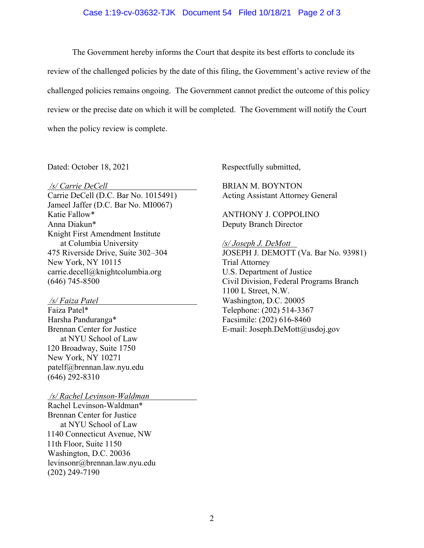## Case 1:19-cv-03632-TJK Document 54 Filed 10/18/21 Page 2 of 3

 The Government hereby informs the Court that despite its best efforts to conclude its review of the challenged policies by the date of this filing, the Government's active review of the challenged policies remains ongoing. The Government cannot predict the outcome of this policy review or the precise date on which it will be completed. The Government will notify the Court when the policy review is complete.

 */s/ Carrie DeCell* 

Carrie DeCell (D.C. Bar No. 1015491) Jameel Jaffer (D.C. Bar No. MI0067) Katie Fallow\* Anna Diakun\* Knight First Amendment Institute at Columbia University 475 Riverside Drive, Suite 302–304 New York, NY 10115 carrie.decell@knightcolumbia.org (646) 745-8500

 */s/ Faiza Patel* 

Faiza Patel\* Harsha Panduranga\* Brennan Center for Justice at NYU School of Law 120 Broadway, Suite 1750 New York, NY 10271 patelf@brennan.law.nyu.edu (646) 292-8310

 */s/ Rachel Levinson-Waldman* 

Rachel Levinson-Waldman\* Brennan Center for Justice at NYU School of Law 1140 Connecticut Avenue, NW 11th Floor, Suite 1150 Washington, D.C. 20036 levinsonr@brennan.law.nyu.edu (202) 249-7190

Dated: October 18, 2021 Respectfully submitted,

BRIAN M. BOYNTON Acting Assistant Attorney General

ANTHONY J. COPPOLINO Deputy Branch Director

*/s/ Joseph J. DeMott* 

JOSEPH J. DEMOTT (Va. Bar No. 93981) Trial Attorney U.S. Department of Justice Civil Division, Federal Programs Branch 1100 L Street, N.W. Washington, D.C. 20005 Telephone: (202) 514-3367 Facsimile: (202) 616-8460 E-mail: Joseph.DeMott@usdoj.gov